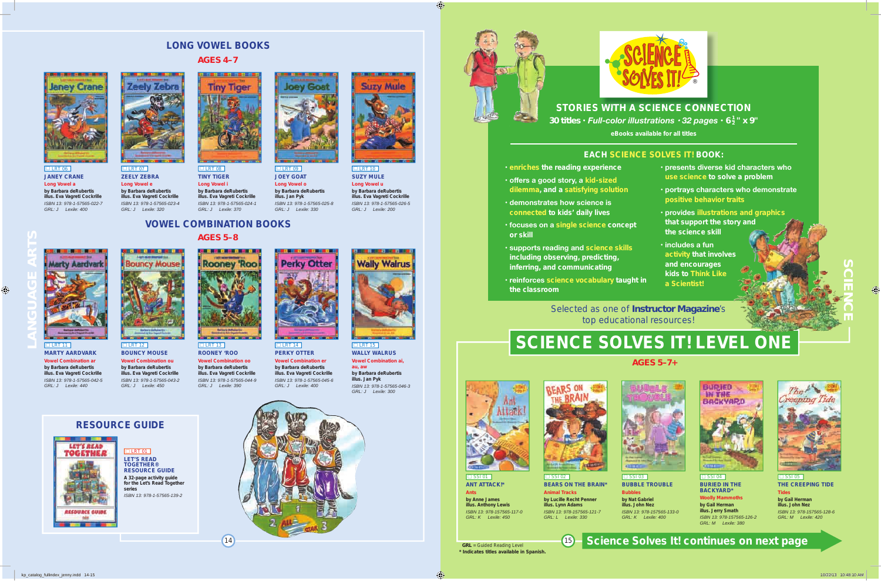



### **STORIeS WITH A SCIenCe COnneCTIOn S COnne**

*30 titles* **•** *Full-color illustrations • 32 pages* **•** *6 <sup>1</sup> <sup>2</sup> " x 9"*

**eBooks available for all titles**

#### **eACH SCIenCe SOLVeS IT! BOOk:**

- **enriches the reading experience**
- **offers a good story, a kid-sized dilemma, and a satisfying solution**
- **demonstrates how science is connected to kids' daily lives**
- **focuses on a single science concept or skill**
- **supports reading and science skills including observing, predicting, inferring, and communicating**
- **reinforces science vocabulary taught in the classroom**
- **presents diverse kid characters who use science to solve a problem**
- **portrays characters who demonstrate positive behavior traits**
- **provides illustrations and graphics that support the story and the science skill**
- **includes a fun activity that involves and encourages kids to Think Like a Scientist!**

Selected as one of *Instructor Magazine*'s top educational resources!

# **SCIENCE SOLVES IT! LEVEL ONE**

*AGeS 5–7+*



 $\overline{\square}$  SSI 01 **AnT ATTACk!\* Ants**

**by Anne James illus. Anthony Lewis** *ISBN 13: 978-157565-117-0 GRL: K Lexile: 450*



**BeARS On THe BRAIn\* Animal Tracks by Lucille Recht Penner** 

**illus. Lynn Adams** *ISBN 13: 978-157565-121-7 GRL: L Lexile: 330*



**BUBBLe TROUBLe Bubbles**

**by Nat Gabriel illus. John nez** *ISBN 13: 978-157565-133-0 GRL: K Lexile: 400*



 $\Box$  SSI 04 **BURIeD In THe BACkYARD\***

**Woolly Mammoths by Gail Herman illus. Jerry Smath** *ISBN 13: 978-157565-126-2 GRL: M Lexile: 380*



 $\Box$  SSI 05 **THe CReePInG TIDe Tides by Gail Herman**

**illus. John nez** *ISBN 13: 978-157565-128-6 GRL: M Lexile: 420*

 *GRL* = Guided Reading Level **\* Indicates titles available in Spanish.**

## <sup>15</sup> **Science Solves It! continues on next page**

**SCIenCe**